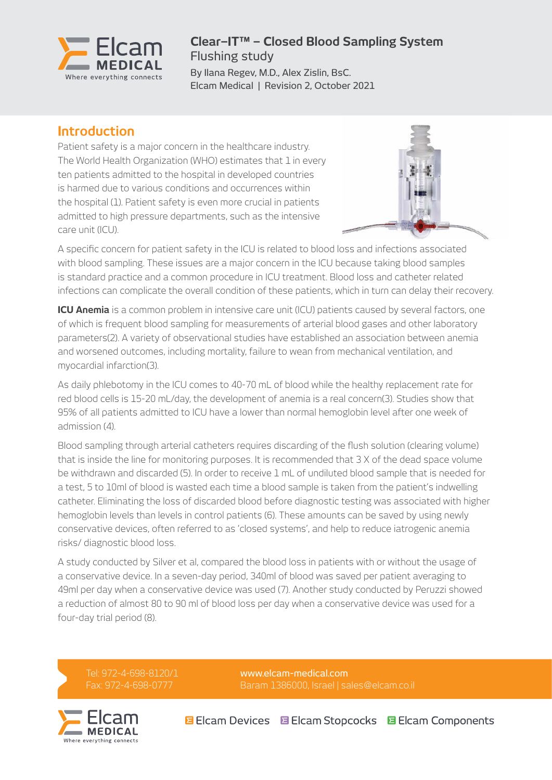

#### **Clear–IT™ – Closed Blood Sampling System** Flushing study

By Ilana Regev, M.D., Alex Zislin, BsC. Elcam Medical | Revision 2, October 2021

### **Introduction**

Patient safety is a major concern in the healthcare industry. The World Health Organization (WHO) estimates that 1 in every ten patients admitted to the hospital in developed countries is harmed due to various conditions and occurrences within the hospital (1). Patient safety is even more crucial in patients admitted to high pressure departments, such as the intensive care unit (ICU).



A specific concern for patient safety in the ICU is related to blood loss and infections associated with blood sampling. These issues are a major concern in the ICU because taking blood samples is standard practice and a common procedure in ICU treatment. Blood loss and catheter related infections can complicate the overall condition of these patients, which in turn can delay their recovery.

**ICU Anemia** is a common problem in intensive care unit (ICU) patients caused by several factors, one of which is frequent blood sampling for measurements of arterial blood gases and other laboratory parameters(2). A variety of observational studies have established an association between anemia and worsened outcomes, including mortality, failure to wean from mechanical ventilation, and myocardial infarction(3).

As daily phlebotomy in the ICU comes to 40-70 mL of blood while the healthy replacement rate for red blood cells is 15-20 mL/day, the development of anemia is a real concern(3). Studies show that 95% of all patients admitted to ICU have a lower than normal hemoglobin level after one week of admission (4).

Blood sampling through arterial catheters requires discarding of the flush solution (clearing volume) that is inside the line for monitoring purposes. It is recommended that 3 X of the dead space volume be withdrawn and discarded (5). In order to receive 1 mL of undiluted blood sample that is needed for a test, 5 to 10ml of blood is wasted each time a blood sample is taken from the patient's indwelling catheter. Eliminating the loss of discarded blood before diagnostic testing was associated with higher hemoglobin levels than levels in control patients (6). These amounts can be saved by using newly conservative devices, often referred to as 'closed systems', and help to reduce iatrogenic anemia risks/ diagnostic blood loss.

A study conducted by Silver et al, compared the blood loss in patients with or without the usage of a conservative device. In a seven-day period, 340ml of blood was saved per patient averaging to 49ml per day when a conservative device was used (7). Another study conducted by Peruzzi showed a reduction of almost 80 to 90 ml of blood loss per day when a conservative device was used for a four-day trial period (8).

Tel: 972-4-698-8120/1 Fax: 972-4-698-0777

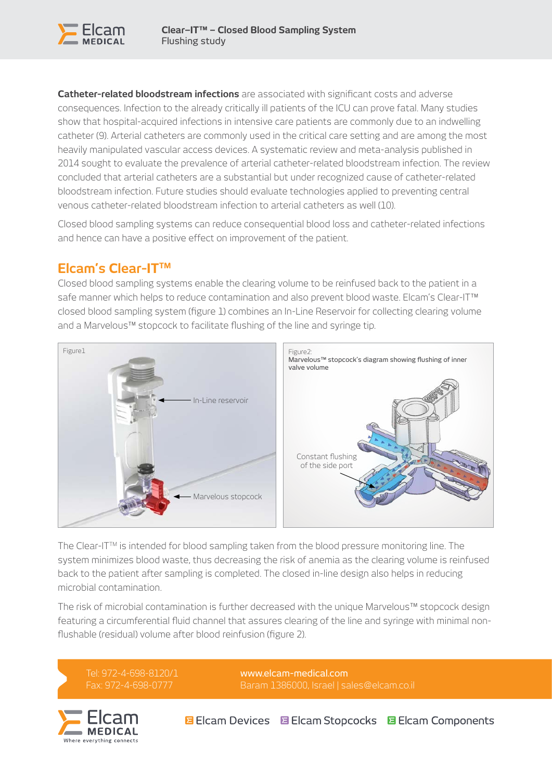

**Catheter-related bloodstream infections** are associated with significant costs and adverse consequences. Infection to the already critically ill patients of the ICU can prove fatal. Many studies show that hospital-acquired infections in intensive care patients are commonly due to an indwelling catheter (9). Arterial catheters are commonly used in the critical care setting and are among the most heavily manipulated vascular access devices. A systematic review and meta-analysis published in 2014 sought to evaluate the prevalence of arterial catheter-related bloodstream infection. The review concluded that arterial catheters are a substantial but under recognized cause of catheter-related bloodstream infection. Future studies should evaluate technologies applied to preventing central venous catheter-related bloodstream infection to arterial catheters as well (10).

Closed blood sampling systems can reduce consequential blood loss and catheter-related infections and hence can have a positive effect on improvement of the patient.

# **Elcam's Clear-ITTM**

Closed blood sampling systems enable the clearing volume to be reinfused back to the patient in a safe manner which helps to reduce contamination and also prevent blood waste. Elcam's Clear-IT<sup>™</sup> closed blood sampling system (figure 1) combines an In-Line Reservoir for collecting clearing volume and a Marvelous™ stopcock to facilitate flushing of the line and syringe tip.



The Clear-ITTM is intended for blood sampling taken from the blood pressure monitoring line. The system minimizes blood waste, thus decreasing the risk of anemia as the clearing volume is reinfused back to the patient after sampling is completed. The closed in-line design also helps in reducing microbial contamination.

The risk of microbial contamination is further decreased with the unique Marvelous™ stopcock design featuring a circumferential fluid channel that assures clearing of the line and syringe with minimal nonflushable (residual) volume after blood reinfusion (figure 2).

Tel: 972-4-698-8120/1 Fax: 972-4-698-0777

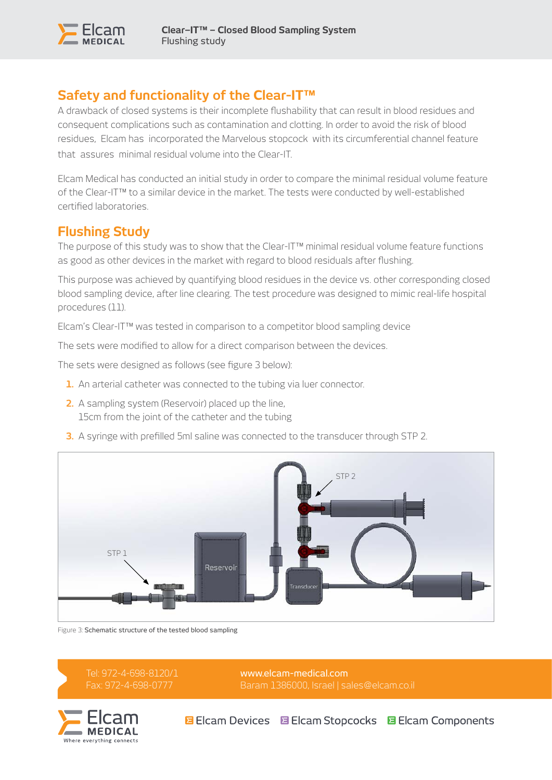

# **Safety and functionality of the Clear-IT™**

A drawback of closed systems is their incomplete flushability that can result in blood residues and consequent complications such as contamination and clotting. In order to avoid the risk of blood residues, Elcam has incorporated the Marvelous stopcock with its circumferential channel feature that assures minimal residual volume into the Clear-IT.

Elcam Medical has conducted an initial study in order to compare the minimal residual volume feature of the Clear-IT™ to a similar device in the market. The tests were conducted by well-established certified laboratories.

## **Flushing Study**

The purpose of this study was to show that the Clear-IT™ minimal residual volume feature functions as good as other devices in the market with regard to blood residuals after flushing.

This purpose was achieved by quantifying blood residues in the device vs. other corresponding closed blood sampling device, after line clearing. The test procedure was designed to mimic real-life hospital procedures (11).

Elcam's Clear-IT™ was tested in comparison to a competitor blood sampling device

The sets were modified to allow for a direct comparison between the devices.

The sets were designed as follows (see figure 3 below):

- **1.** An arterial catheter was connected to the tubing via luer connector.
- **2.** A sampling system (Reservoir) placed up the line, 15cm from the joint of the catheter and the tubing
- **3.** A syringe with prefilled 5ml saline was connected to the transducer through STP 2.



Figure 3: Schematic structure of the tested blood sampling



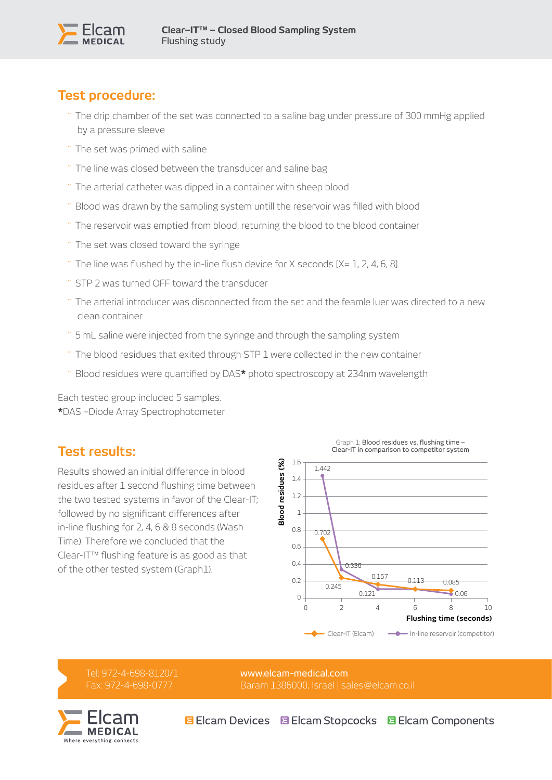

# **Test procedure:**

- The drip chamber of the set was connected to a saline bag under pressure of 300 mmHg applied by a pressure sleeve
- The set was primed with saline
- The line was closed between the transducer and saline bag
- The arterial catheter was dipped in a container with sheep blood
- Blood was drawn by the sampling system untill the reservoir was filled with blood
- The reservoir was emptied from blood, returning the blood to the blood container
- The set was closed toward the syringe
- $\dot{ }$  The line was flushed by the in-line flush device for X seconds [X= 1, 2, 4, 6, 8]
- STP 2 was turned OFF toward the transducer
- The arterial introducer was disconnected from the set and the feamle luer was directed to a new clean container
- 5 mL saline were injected from the syringe and through the sampling system
- The blood residues that exited through STP 1 were collected in the new container
- Blood residues were quantified by DAS**\*** photo spectroscopy at 234nm wavelength

Each tested group included 5 samples. **\***DAS –Diode Array Spectrophotometer

## **Test results:**

Results showed an initial difference in blood residues after 1 second flushing time between the two tested systems in favor of the Clear-IT; followed by no significant differences after in-line flushing for 2, 4, 6 & 8 seconds (Wash Time). Therefore we concluded that the Clear-IT™ flushing feature is as good as that of the other tested system (Graph1).



Tel: 972-4-698-8120/1 Fax: 972-4-698-0777

[www.elcam-medical.com](http://www.elcam-medical.com) Baram 1386000, Israel | [sales@elcam.co.il](mailto:sales@elcam.co.il)



**BEIcam Devices 国 Elcam Stopcocks 国 Elcam Components**